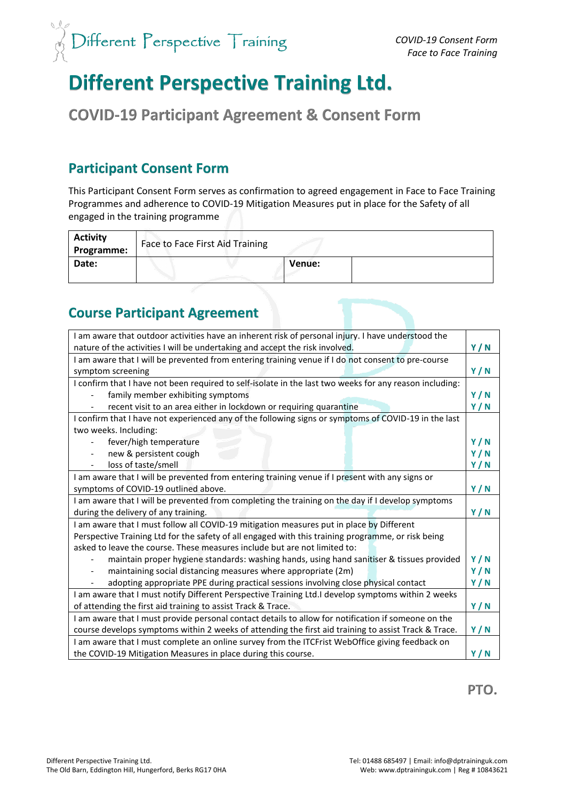

# **Different Perspective Training Ltd.**

**COVID-19 Participant Agreement & Consent Form**

### **Participant Consent Form**

This Participant Consent Form serves as confirmation to agreed engagement in Face to Face Training Programmes and adherence to COVID-19 Mitigation Measures put in place for the Safety of all engaged in the training programme

| <b>Activity</b><br>Programme: | Face to Face First Aid Training |        |  |
|-------------------------------|---------------------------------|--------|--|
| Date:                         |                                 | Venue: |  |

## **Course Participant Agreement**

| I am aware that outdoor activities have an inherent risk of personal injury. I have understood the      |     |  |  |  |  |  |
|---------------------------------------------------------------------------------------------------------|-----|--|--|--|--|--|
| nature of the activities I will be undertaking and accept the risk involved.                            |     |  |  |  |  |  |
| I am aware that I will be prevented from entering training venue if I do not consent to pre-course      |     |  |  |  |  |  |
| symptom screening                                                                                       | Y/N |  |  |  |  |  |
| I confirm that I have not been required to self-isolate in the last two weeks for any reason including: |     |  |  |  |  |  |
| family member exhibiting symptoms                                                                       |     |  |  |  |  |  |
| recent visit to an area either in lockdown or requiring quarantine                                      |     |  |  |  |  |  |
| I confirm that I have not experienced any of the following signs or symptoms of COVID-19 in the last    |     |  |  |  |  |  |
| two weeks. Including:                                                                                   |     |  |  |  |  |  |
| fever/high temperature                                                                                  | Y/N |  |  |  |  |  |
| new & persistent cough                                                                                  | Y/N |  |  |  |  |  |
| loss of taste/smell                                                                                     | Y/N |  |  |  |  |  |
| I am aware that I will be prevented from entering training venue if I present with any signs or         |     |  |  |  |  |  |
| symptoms of COVID-19 outlined above.                                                                    |     |  |  |  |  |  |
| I am aware that I will be prevented from completing the training on the day if I develop symptoms       |     |  |  |  |  |  |
| during the delivery of any training.                                                                    |     |  |  |  |  |  |
| I am aware that I must follow all COVID-19 mitigation measures put in place by Different                |     |  |  |  |  |  |
| Perspective Training Ltd for the safety of all engaged with this training programme, or risk being      |     |  |  |  |  |  |
| asked to leave the course. These measures include but are not limited to:                               |     |  |  |  |  |  |
| maintain proper hygiene standards: washing hands, using hand sanitiser & tissues provided               | Y/N |  |  |  |  |  |
| maintaining social distancing measures where appropriate (2m)                                           | Y/N |  |  |  |  |  |
| adopting appropriate PPE during practical sessions involving close physical contact                     | Y/N |  |  |  |  |  |
| I am aware that I must notify Different Perspective Training Ltd.I develop symptoms within 2 weeks      |     |  |  |  |  |  |
| of attending the first aid training to assist Track & Trace.                                            |     |  |  |  |  |  |
| I am aware that I must provide personal contact details to allow for notification if someone on the     |     |  |  |  |  |  |
| course develops symptoms within 2 weeks of attending the first aid training to assist Track & Trace.    |     |  |  |  |  |  |
| I am aware that I must complete an online survey from the ITCFrist WebOffice giving feedback on         |     |  |  |  |  |  |
| the COVID-19 Mitigation Measures in place during this course.                                           |     |  |  |  |  |  |

**PTO.**